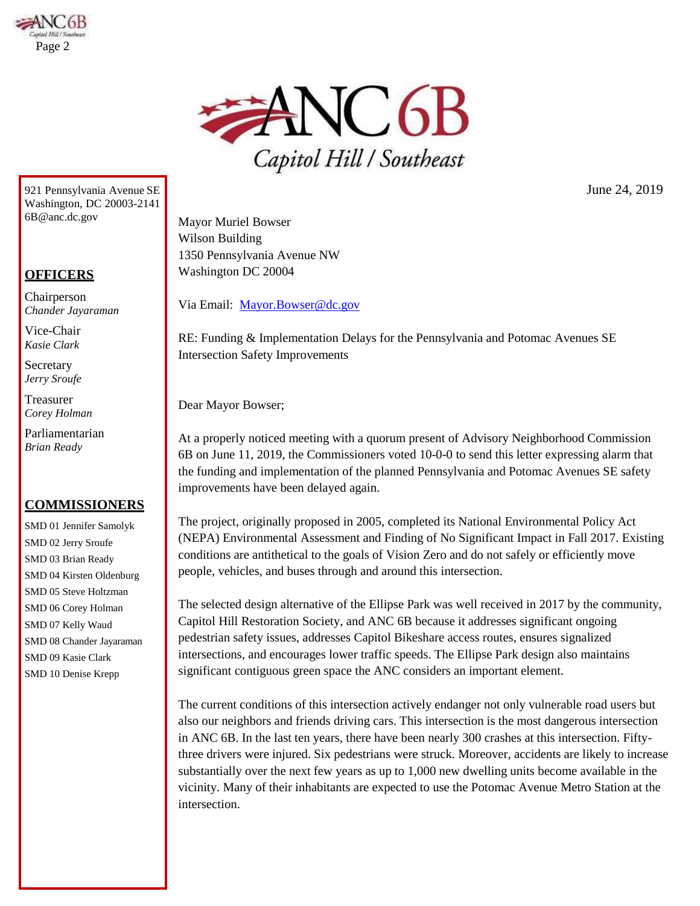



921 Pennsylvania Avenue SE Washington, DC 20003-214[1](mailto:6B@anc.dc.gov) [6B@anc.dc.gov](mailto:6B@anc.dc.gov)

## **OFFICERS**

Chairperson *Chander Jayaraman*

Vice-Chair *Kasie Clark*

Secretary *Jerry Sroufe*

Treasurer *Corey Holman*

Parliamentarian *Brian Ready*

## **COMMISSIONERS**

SMD 01 Jennifer Samolyk SMD 02 Jerry Sroufe SMD 03 Brian Ready SMD 04 Kirsten Oldenburg SMD 05 Steve Holtzman SMD 06 Corey Holman SMD 07 Kelly Waud SMD 08 Chander Jayaraman SMD 09 Kasie Clark SMD 10 Denise Krepp

June 24, 2019

Mayor Muriel Bowser Wilson Building 1350 Pennsylvania Avenue NW Washington DC 20004

Via Email: [Mayor.Bowser@dc.gov](mailto:Mayor.Bowser@dc.gov)

RE: Funding & Implementation Delays for the Pennsylvania and Potomac Avenues SE Intersection Safety Improvements

Dear Mayor Bowser;

At a properly noticed meeting with a quorum present of Advisory Neighborhood Commission 6B on June 11, 2019, the Commissioners voted 10-0-0 to send this letter expressing alarm that the funding and implementation of the planned Pennsylvania and Potomac Avenues SE safety improvements have been delayed again.

The project, originally proposed in 2005, completed its National Environmental Policy Act (NEPA) Environmental Assessment and Finding of No Significant Impact in Fall 2017. Existing conditions are antithetical to the goals of Vision Zero and do not safely or efficiently move people, vehicles, and buses through and around this intersection.

The selected design alternative of the Ellipse Park was well received in 2017 by the community, Capitol Hill Restoration Society, and ANC 6B because it addresses significant ongoing pedestrian safety issues, addresses Capitol Bikeshare access routes, ensures signalized intersections, and encourages lower traffic speeds. The Ellipse Park design also maintains significant contiguous green space the ANC considers an important element.

The current conditions of this intersection actively endanger not only vulnerable road users but also our neighbors and friends driving cars. This intersection is the most dangerous intersection in ANC 6B. In the last ten years, there have been nearly 300 crashes at this intersection. Fiftythree drivers were injured. Six pedestrians were struck. Moreover, accidents are likely to increase substantially over the next few years as up to 1,000 new dwelling units become available in the vicinity. Many of their inhabitants are expected to use the Potomac Avenue Metro Station at the intersection.